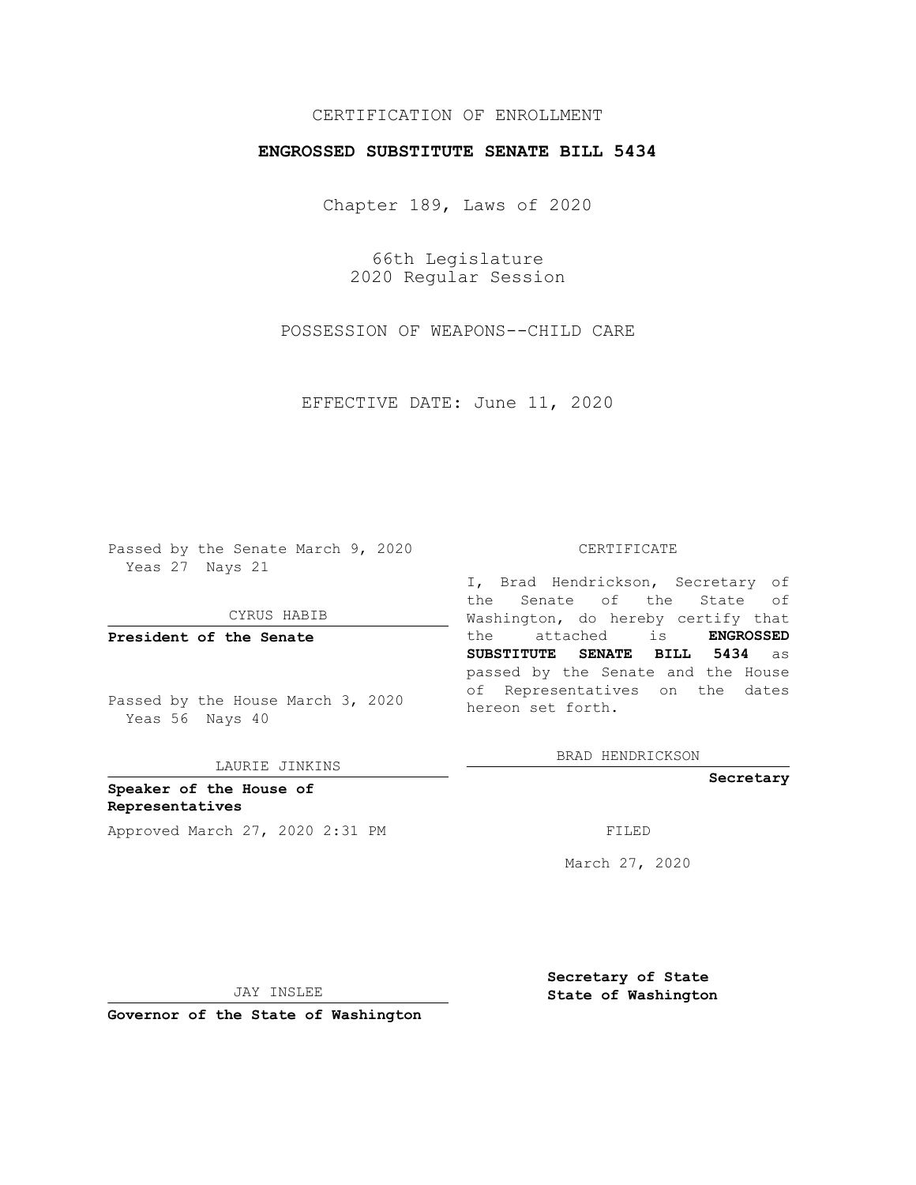# CERTIFICATION OF ENROLLMENT

## **ENGROSSED SUBSTITUTE SENATE BILL 5434**

Chapter 189, Laws of 2020

66th Legislature 2020 Regular Session

POSSESSION OF WEAPONS--CHILD CARE

EFFECTIVE DATE: June 11, 2020

Passed by the Senate March 9, 2020 Yeas 27 Nays 21

CYRUS HABIB

**President of the Senate**

Passed by the House March 3, 2020 Yeas 56 Nays 40

LAURIE JINKINS

**Speaker of the House of Representatives** Approved March 27, 2020 2:31 PM

#### CERTIFICATE

I, Brad Hendrickson, Secretary of the Senate of the State of Washington, do hereby certify that the attached is **ENGROSSED SUBSTITUTE SENATE BILL 5434** as passed by the Senate and the House of Representatives on the dates hereon set forth.

BRAD HENDRICKSON

**Secretary**

March 27, 2020

JAY INSLEE

**Secretary of State State of Washington**

**Governor of the State of Washington**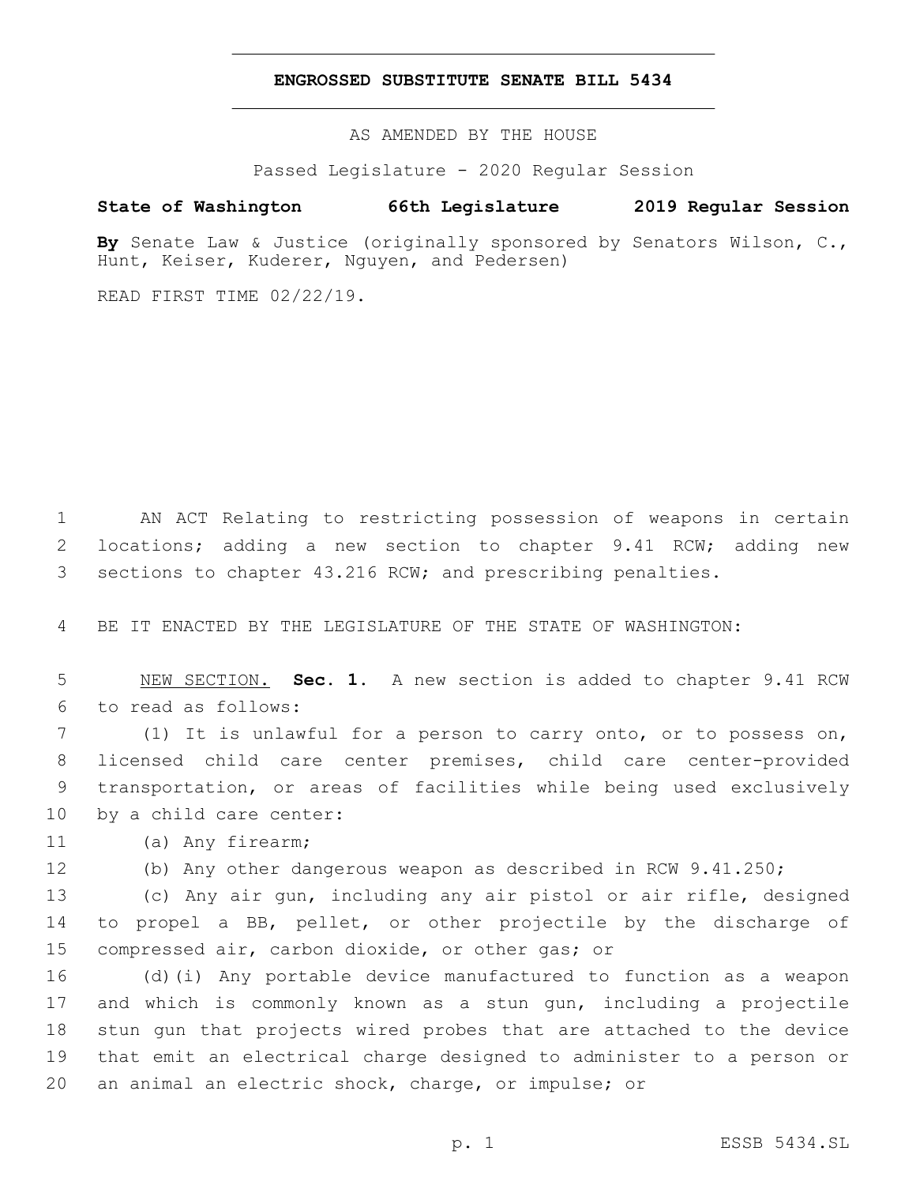### **ENGROSSED SUBSTITUTE SENATE BILL 5434**

AS AMENDED BY THE HOUSE

Passed Legislature - 2020 Regular Session

# **State of Washington 66th Legislature 2019 Regular Session**

**By** Senate Law & Justice (originally sponsored by Senators Wilson, C., Hunt, Keiser, Kuderer, Nguyen, and Pedersen)

READ FIRST TIME 02/22/19.

1 AN ACT Relating to restricting possession of weapons in certain 2 locations; adding a new section to chapter 9.41 RCW; adding new 3 sections to chapter 43.216 RCW; and prescribing penalties.

4 BE IT ENACTED BY THE LEGISLATURE OF THE STATE OF WASHINGTON:

5 NEW SECTION. **Sec. 1.** A new section is added to chapter 9.41 RCW to read as follows:6

 (1) It is unlawful for a person to carry onto, or to possess on, licensed child care center premises, child care center-provided transportation, or areas of facilities while being used exclusively 10 by a child care center:

(a) Any firearm;11

12 (b) Any other dangerous weapon as described in RCW 9.41.250;

13 (c) Any air gun, including any air pistol or air rifle, designed 14 to propel a BB, pellet, or other projectile by the discharge of 15 compressed air, carbon dioxide, or other gas; or

 (d)(i) Any portable device manufactured to function as a weapon and which is commonly known as a stun gun, including a projectile stun gun that projects wired probes that are attached to the device that emit an electrical charge designed to administer to a person or an animal an electric shock, charge, or impulse; or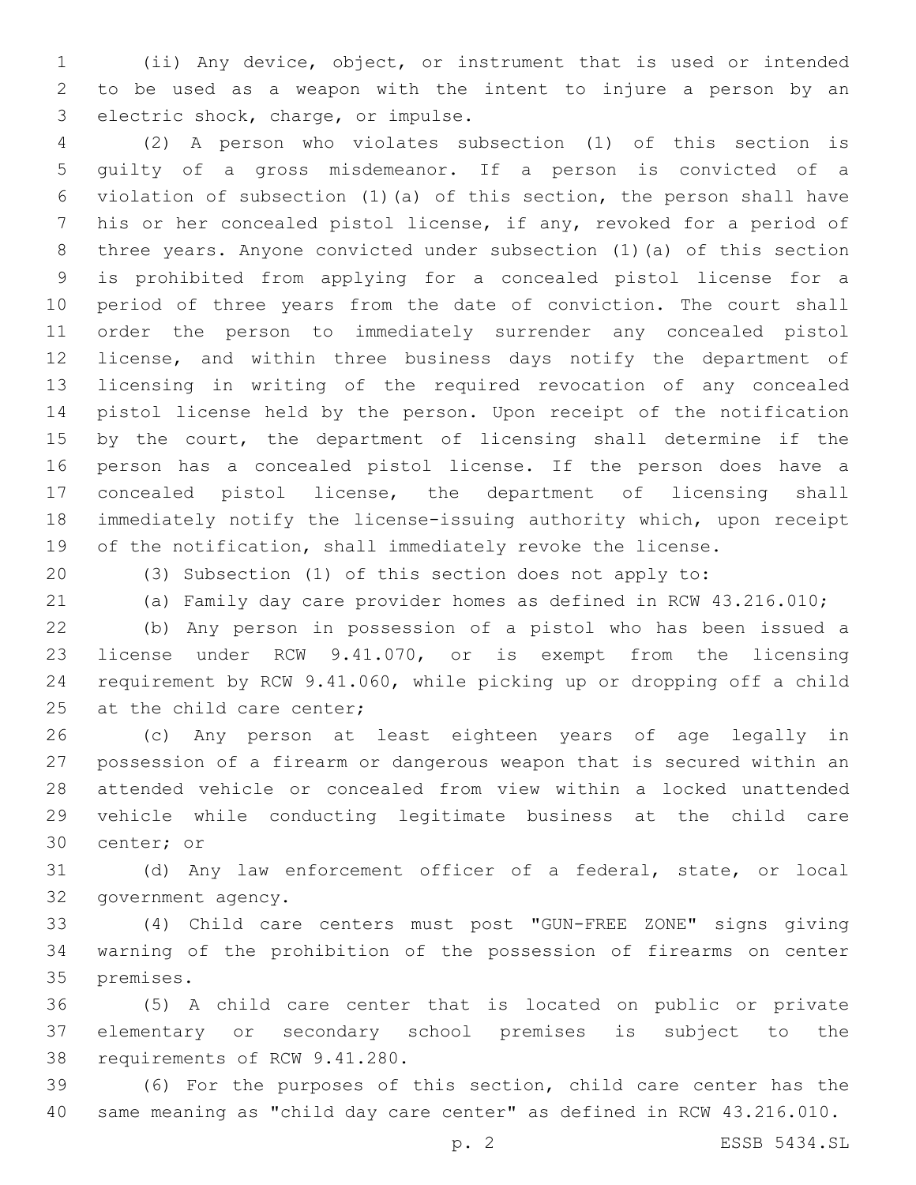(ii) Any device, object, or instrument that is used or intended to be used as a weapon with the intent to injure a person by an 3 electric shock, charge, or impulse.

 (2) A person who violates subsection (1) of this section is guilty of a gross misdemeanor. If a person is convicted of a violation of subsection (1)(a) of this section, the person shall have his or her concealed pistol license, if any, revoked for a period of three years. Anyone convicted under subsection (1)(a) of this section is prohibited from applying for a concealed pistol license for a period of three years from the date of conviction. The court shall order the person to immediately surrender any concealed pistol license, and within three business days notify the department of licensing in writing of the required revocation of any concealed pistol license held by the person. Upon receipt of the notification by the court, the department of licensing shall determine if the person has a concealed pistol license. If the person does have a concealed pistol license, the department of licensing shall immediately notify the license-issuing authority which, upon receipt 19 of the notification, shall immediately revoke the license.

(3) Subsection (1) of this section does not apply to:

(a) Family day care provider homes as defined in RCW 43.216.010;

 (b) Any person in possession of a pistol who has been issued a license under RCW 9.41.070, or is exempt from the licensing requirement by RCW 9.41.060, while picking up or dropping off a child 25 at the child care center;

 (c) Any person at least eighteen years of age legally in possession of a firearm or dangerous weapon that is secured within an attended vehicle or concealed from view within a locked unattended vehicle while conducting legitimate business at the child care 30 center; or

 (d) Any law enforcement officer of a federal, state, or local 32 government agency.

 (4) Child care centers must post "GUN-FREE ZONE" signs giving warning of the prohibition of the possession of firearms on center 35 premises.

 (5) A child care center that is located on public or private elementary or secondary school premises is subject to the 38 requirements of RCW 9.41.280.

 (6) For the purposes of this section, child care center has the same meaning as "child day care center" as defined in RCW 43.216.010.